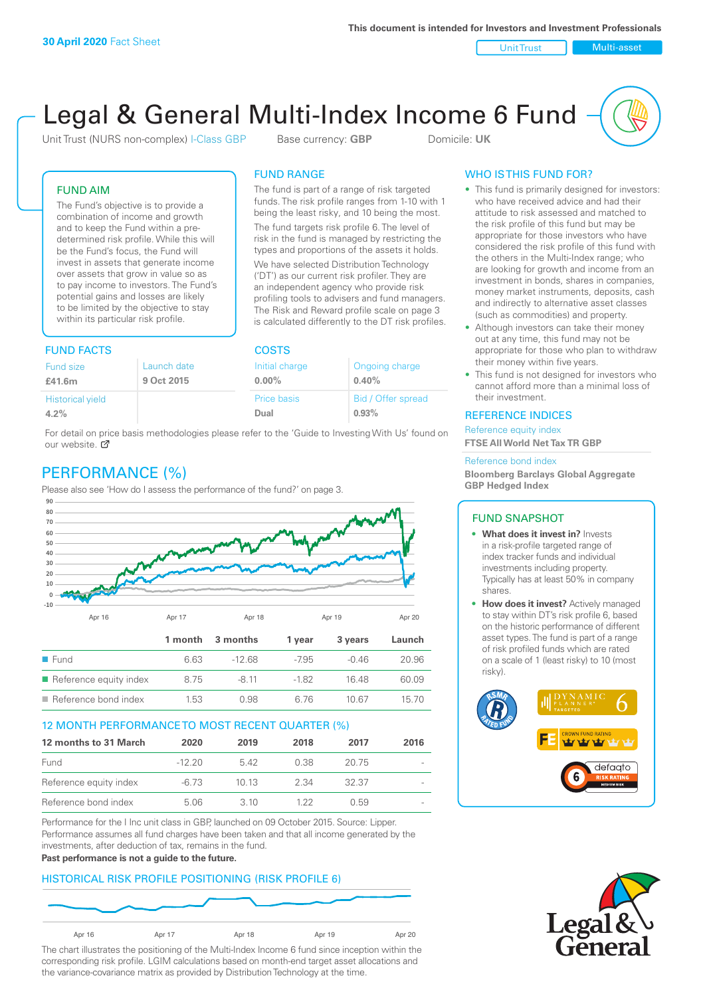Unit Trust Nulti-asset

# Legal & General Multi-Index Income 6 Fund

Unit Trust (NURS non-complex) I-Class GBP Base currency: **GBP** Domicile: UK

The fund is part of a range of risk targeted funds. The risk profile ranges from 1-10 with 1 being the least risky, and 10 being the most. The fund targets risk profile 6. The level of risk in the fund is managed by restricting the types and proportions of the assets it holds. We have selected Distribution Technology ('DT') as our current risk profiler. They are an independent agency who provide risk profiling tools to advisers and fund managers. The Risk and Reward profile scale on page 3 is calculated differently to the DT risk profiles.

FUND RANGE

## FUND AIM

The Fund's objective is to provide a combination of income and growth and to keep the Fund within a predetermined risk profile. While this will be the Fund's focus, the Fund will invest in assets that generate income over assets that grow in value so as to pay income to investors. The Fund's potential gains and losses are likely to be limited by the objective to stay within its particular risk profile.

## FUND FACTS COSTS

| Launch date | Initial charge | Ongoing charge     |  |
|-------------|----------------|--------------------|--|
| 9 Oct 2015  | $0.00\%$       | 0.40%              |  |
|             | Price basis    | Bid / Offer spread |  |
|             | Dual           | 0.93%              |  |
|             |                |                    |  |

For detail on price basis methodologies please refer to the 'Guide to Investing With Us' found on our website. Ø

# PERFORMANCE (%)

Please also see 'How do I assess the performance of the fund?' on page 3.



#### 12 MONTH PERFORMANCE TO MOST RECENT QUARTER (%)

| 12 months to 31 March  | 2020     | 2019 | 2018 | 2017  | 2016                     |
|------------------------|----------|------|------|-------|--------------------------|
| Fund                   | $-12.20$ | 542  | 0.38 | 20.75 | $\sim$                   |
| Reference equity index | $-6.73$  | 1013 | 2.34 | 32.37 | $\sim$                   |
| Reference bond index   | 5.06     | 3.10 | 1 22 | O 59  | $\overline{\phantom{a}}$ |

Performance for the I Inc unit class in GBP, launched on 09 October 2015. Source: Lipper. Performance assumes all fund charges have been taken and that all income generated by the investments, after deduction of tax, remains in the fund.

#### **Past performance is not a guide to the future.**

#### HISTORICAL RISK PROFILE POSITIONING (RISK PROFILE 6)



The chart illustrates the positioning of the Multi-Index Income 6 fund since inception within the corresponding risk profile. LGIM calculations based on month-end target asset allocations and the variance-covariance matrix as provided by Distribution Technology at the time.

## WHO IS THIS FUND FOR?

- This fund is primarily designed for investors: who have received advice and had their attitude to risk assessed and matched to the risk profile of this fund but may be appropriate for those investors who have considered the risk profile of this fund with the others in the Multi-Index range; who are looking for growth and income from an investment in bonds, shares in companies, money market instruments, deposits, cash and indirectly to alternative asset classes (such as commodities) and property.
- Although investors can take their money out at any time, this fund may not be appropriate for those who plan to withdraw their money within five years.
- This fund is not designed for investors who cannot afford more than a minimal loss of their investment.

#### REFERENCE INDICES

Reference equity index **FTSE All World Net Tax TR GBP**

#### Reference bond index

**Bloomberg Barclays Global Aggregate GBP Hedged Index**

#### FUND SNAPSHOT

- **• What does it invest in?** Invests in a risk-profile targeted range of index tracker funds and individual investments including property. Typically has at least 50% in company shares.
- **• How does it invest?** Actively managed to stay within DT's risk profile 6, based on the historic performance of different asset types. The fund is part of a range of risk profiled funds which are rated on a scale of 1 (least risky) to 10 (most risky).



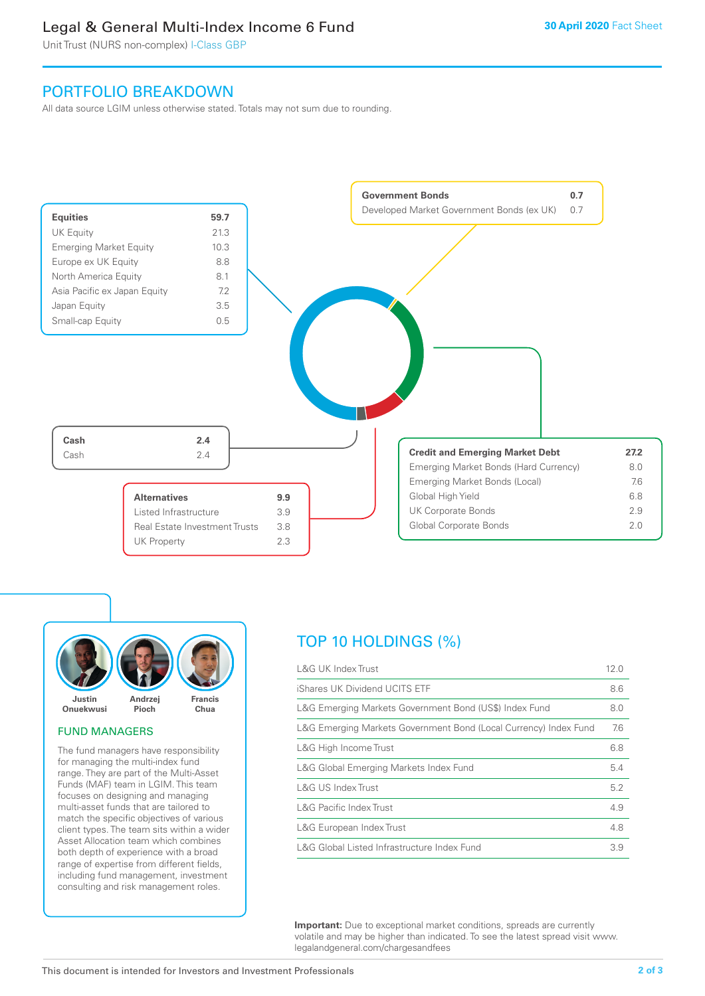# Legal & General Multi-Index Income 6 Fund

Unit Trust (NURS non-complex) I-Class GBP

# PORTFOLIO BREAKDOWN

All data source LGIM unless otherwise stated. Totals may not sum due to rounding.

![](_page_1_Figure_5.jpeg)

![](_page_1_Picture_6.jpeg)

#### FUND MANAGERS

The fund managers have responsibility for managing the multi-index fund range. They are part of the Multi-Asset Funds (MAF) team in LGIM. This team focuses on designing and managing multi-asset funds that are tailored to match the specific objectives of various client types. The team sits within a wider Asset Allocation team which combines both depth of experience with a broad range of expertise from different fields, including fund management, investment consulting and risk management roles.

# TOP 10 HOLDINGS (%)

| <b>L&amp;G UK Index Trust</b>                                    | 12.0 |
|------------------------------------------------------------------|------|
| iShares UK Dividend UCITS ETF                                    | 8.6  |
| L&G Emerging Markets Government Bond (US\$) Index Fund           | 8.0  |
| L&G Emerging Markets Government Bond (Local Currency) Index Fund | 7.6  |
| L&G High Income Trust                                            | 6.8  |
| L&G Global Emerging Markets Index Fund                           | 5.4  |
| L&G US Index Trust                                               | 5.2  |
| <b>L&amp;G Pacific Index Trust</b>                               | 4.9  |
| L&G European Index Trust                                         | 4.8  |
| L&G Global Listed Infrastructure Index Fund                      | 3.9  |

**Important:** Due to exceptional market conditions, spreads are currently volatile and may be higher than indicated. To see the latest spread visit www. legalandgeneral.com/chargesandfees